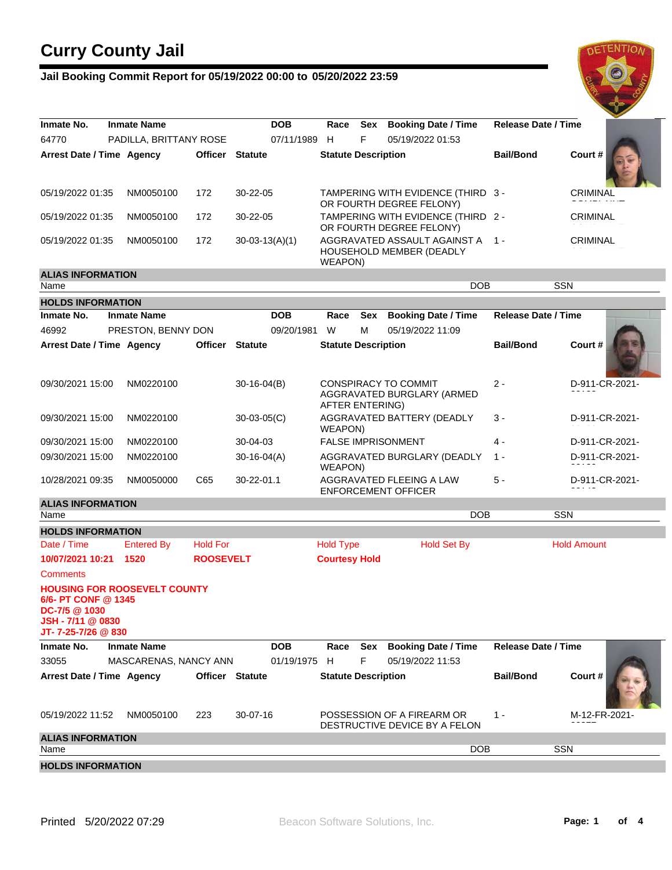### **Jail Booking Commit Report for 05/19/2022 00:00 to 05/20/2022 23:59**



| Inmate No.                                                                         | <b>Inmate Name</b>                  | <b>DOB</b><br>Sex<br>Race |                        |                                                                | <b>Booking Date / Time</b> | Release Date / Time                                                 |                            |                    |
|------------------------------------------------------------------------------------|-------------------------------------|---------------------------|------------------------|----------------------------------------------------------------|----------------------------|---------------------------------------------------------------------|----------------------------|--------------------|
| 64770                                                                              | PADILLA, BRITTANY ROSE              |                           | 07/11/1989             | F<br>H                                                         |                            | 05/19/2022 01:53                                                    |                            |                    |
| Arrest Date / Time Agency                                                          |                                     |                           | <b>Officer Statute</b> | <b>Statute Description</b>                                     |                            |                                                                     | <b>Bail/Bond</b>           | Court#             |
| 05/19/2022 01:35                                                                   | NM0050100                           | 172                       | 30-22-05               |                                                                |                            | TAMPERING WITH EVIDENCE (THIRD 3 -<br>OR FOURTH DEGREE FELONY)      |                            | CRIMINAL           |
| 05/19/2022 01:35                                                                   | NM0050100                           | 172                       | 30-22-05               | TAMPERING WITH EVIDENCE (THIRD 2 -<br>OR FOURTH DEGREE FELONY) |                            |                                                                     |                            | <b>CRIMINAL</b>    |
| 05/19/2022 01:35                                                                   | NM0050100                           | 172                       | $30-03-13(A)(1)$       | WEAPON)                                                        |                            | AGGRAVATED ASSAULT AGAINST A 1 -<br><b>HOUSEHOLD MEMBER (DEADLY</b> |                            | <b>CRIMINAL</b>    |
| <b>ALIAS INFORMATION</b>                                                           |                                     |                           |                        |                                                                |                            |                                                                     |                            |                    |
| Name                                                                               |                                     |                           |                        |                                                                |                            | <b>DOB</b>                                                          |                            | <b>SSN</b>         |
| <b>HOLDS INFORMATION</b>                                                           |                                     |                           |                        |                                                                |                            |                                                                     |                            |                    |
| Inmate No.                                                                         | <b>Inmate Name</b>                  |                           | <b>DOB</b>             | Race                                                           | Sex                        | <b>Booking Date / Time</b>                                          | <b>Release Date / Time</b> |                    |
| 46992                                                                              | PRESTON, BENNY DON                  |                           | 09/20/1981             | W                                                              | м                          | 05/19/2022 11:09                                                    |                            |                    |
| Arrest Date / Time Agency                                                          |                                     | Officer Statute           |                        | <b>Statute Description</b>                                     |                            |                                                                     | <b>Bail/Bond</b>           | Court#             |
| 09/30/2021 15:00                                                                   | NM0220100                           |                           | $30-16-04(B)$          | AFTER ENTERING)                                                |                            | CONSPIRACY TO COMMIT<br>AGGRAVATED BURGLARY (ARMED                  | $2 -$                      | D-911-CR-2021-     |
| 09/30/2021 15:00                                                                   | NM0220100                           |                           | $30-03-05(C)$          | WEAPON)                                                        |                            | AGGRAVATED BATTERY (DEADLY                                          | 3 -                        | D-911-CR-2021-     |
| 09/30/2021 15:00                                                                   | NM0220100                           |                           | 30-04-03               |                                                                |                            | <b>FALSE IMPRISONMENT</b>                                           | 4 -                        | D-911-CR-2021-     |
| 09/30/2021 15:00                                                                   | NM0220100                           |                           | $30-16-04(A)$          | AGGRAVATED BURGLARY (DEADLY<br>WEAPON)                         |                            |                                                                     | $1 -$                      | D-911-CR-2021-     |
| 10/28/2021 09:35                                                                   | NM0050000                           | C65                       | 30-22-01.1             |                                                                |                            | AGGRAVATED FLEEING A LAW<br><b>ENFORCEMENT OFFICER</b>              | $5 -$                      | D-911-CR-2021-     |
| <b>ALIAS INFORMATION</b>                                                           |                                     |                           |                        |                                                                |                            |                                                                     |                            |                    |
| Name                                                                               |                                     |                           |                        |                                                                |                            | <b>DOB</b>                                                          |                            | <b>SSN</b>         |
| <b>HOLDS INFORMATION</b>                                                           |                                     |                           |                        |                                                                |                            |                                                                     |                            |                    |
| Date / Time                                                                        | <b>Entered By</b>                   | <b>Hold For</b>           |                        | <b>Hold Type</b>                                               |                            | <b>Hold Set By</b>                                                  |                            | <b>Hold Amount</b> |
| 10/07/2021 10:21                                                                   | 1520                                | <b>ROOSEVELT</b>          |                        | <b>Courtesy Hold</b>                                           |                            |                                                                     |                            |                    |
| <b>Comments</b>                                                                    |                                     |                           |                        |                                                                |                            |                                                                     |                            |                    |
| 6/6- PT CONF @ 1345<br>$DC - 7/5 \& 1030$<br>JSH-7/11 @ 0830<br>JT-7-25-7/26 @ 830 | <b>HOUSING FOR ROOSEVELT COUNTY</b> |                           |                        |                                                                |                            |                                                                     |                            |                    |
| Inmate No.                                                                         | <b>Inmate Name</b>                  |                           | <b>DOB</b>             | Race                                                           | Sex                        | <b>Booking Date / Time</b>                                          | <b>Release Date / Time</b> |                    |
|                                                                                    |                                     |                           |                        |                                                                | F                          |                                                                     |                            |                    |
| 33055                                                                              | MASCARENAS, NANCY ANN               |                           | 01/19/1975 H           |                                                                |                            | 05/19/2022 11:53                                                    |                            |                    |
| Arrest Date / Time Agency                                                          |                                     | Officer Statute           |                        | <b>Statute Description</b>                                     |                            |                                                                     | <b>Bail/Bond</b>           | Court#             |
| 05/19/2022 11:52                                                                   | NM0050100                           | 223                       | 30-07-16               |                                                                |                            | POSSESSION OF A FIREARM OR<br>DESTRUCTIVE DEVICE BY A FELON         | $1 -$                      | M-12-FR-2021-      |
| <b>ALIAS INFORMATION</b>                                                           |                                     |                           |                        |                                                                |                            |                                                                     |                            |                    |
| Name                                                                               |                                     |                           |                        |                                                                |                            | <b>DOB</b>                                                          |                            | <b>SSN</b>         |
| <b>HOLDS INFORMATION</b>                                                           |                                     |                           |                        |                                                                |                            |                                                                     |                            |                    |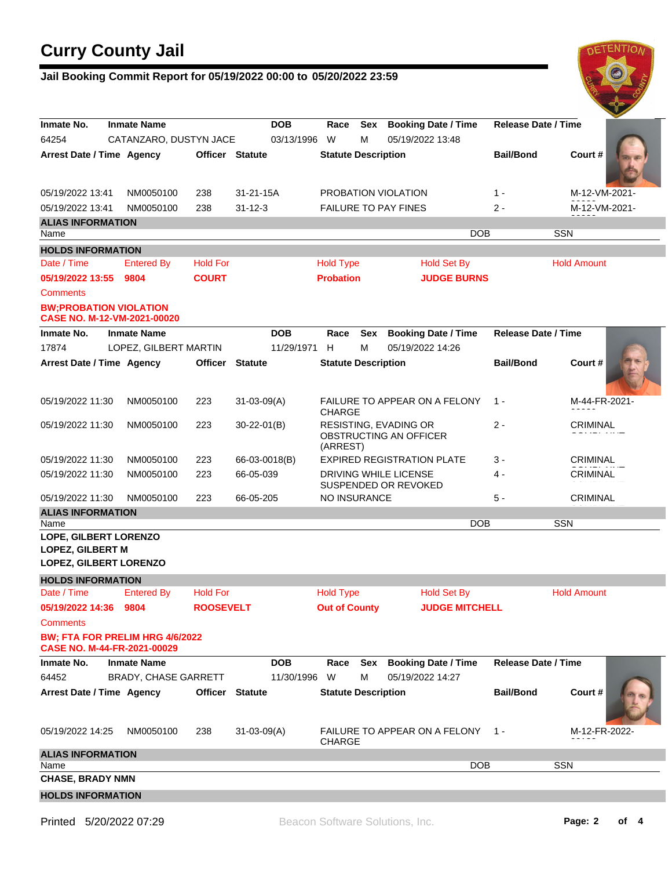### **Jail Booking Commit Report for 05/19/2022 00:00 to 05/20/2022 23:59**



| Inmate No.                                                                         | <b>Inmate Name</b>              |                        | <b>DOB</b>        | Race                       | Sex        | <b>Booking Date / Time</b>                             | <b>Release Date / Time</b> |                    |
|------------------------------------------------------------------------------------|---------------------------------|------------------------|-------------------|----------------------------|------------|--------------------------------------------------------|----------------------------|--------------------|
| 64254                                                                              | CATANZARO, DUSTYN JACE          |                        | 03/13/1996        | W                          | м          | 05/19/2022 13:48                                       |                            |                    |
| Arrest Date / Time Agency                                                          |                                 | <b>Officer Statute</b> |                   | <b>Statute Description</b> |            |                                                        | <b>Bail/Bond</b>           | Court#             |
| 05/19/2022 13:41                                                                   | NM0050100                       | 238                    | 31-21-15A         |                            |            | PROBATION VIOLATION                                    | $1 -$                      | M-12-VM-2021-      |
| 05/19/2022 13:41                                                                   | NM0050100                       | 238                    | $31 - 12 - 3$     |                            |            | <b>FAILURE TO PAY FINES</b>                            | 2 -                        | M-12-VM-2021-      |
| <b>ALIAS INFORMATION</b>                                                           |                                 |                        |                   |                            |            |                                                        |                            |                    |
| Name                                                                               |                                 |                        |                   |                            |            | DOB                                                    |                            | SSN                |
| <b>HOLDS INFORMATION</b>                                                           |                                 |                        |                   |                            |            |                                                        |                            |                    |
| Date / Time                                                                        | <b>Entered By</b>               | <b>Hold For</b>        |                   | <b>Hold Type</b>           |            | <b>Hold Set By</b>                                     |                            | <b>Hold Amount</b> |
| 05/19/2022 13:55                                                                   | 9804                            | <b>COURT</b>           |                   | <b>Probation</b>           |            | <b>JUDGE BURNS</b>                                     |                            |                    |
| <b>Comments</b>                                                                    |                                 |                        |                   |                            |            |                                                        |                            |                    |
| <b>BW:PROBATION VIOLATION</b><br>CASE NO. M-12-VM-2021-00020                       |                                 |                        |                   |                            |            |                                                        |                            |                    |
| Inmate No.                                                                         | <b>Inmate Name</b>              |                        | <b>DOB</b>        | Race                       | <b>Sex</b> | <b>Booking Date / Time</b>                             | <b>Release Date / Time</b> |                    |
| 17874                                                                              | LOPEZ, GILBERT MARTIN           |                        | 11/29/1971        | H                          | м          | 05/19/2022 14:26                                       |                            |                    |
| Arrest Date / Time Agency                                                          |                                 | <b>Officer</b>         | <b>Statute</b>    | <b>Statute Description</b> |            |                                                        | <b>Bail/Bond</b>           | Court#             |
| 05/19/2022 11:30                                                                   | NM0050100                       | 223                    | $31 - 03 - 09(A)$ | <b>CHARGE</b>              |            | <b>FAILURE TO APPEAR ON A FELONY</b>                   | $1 -$                      | M-44-FR-2021-      |
| 05/19/2022 11:30                                                                   | NM0050100                       | 223                    | $30 - 22 - 01(B)$ | (ARREST)                   |            | <b>RESISTING, EVADING OR</b><br>OBSTRUCTING AN OFFICER | $2 -$                      | CRIMINAL           |
| 05/19/2022 11:30                                                                   | NM0050100                       | 223                    | 66-03-0018(B)     |                            |            | <b>EXPIRED REGISTRATION PLATE</b>                      | 3 -                        | <b>CRIMINAL</b>    |
| 05/19/2022 11:30                                                                   | NM0050100                       | 223                    | 66-05-039         |                            |            | DRIVING WHILE LICENSE<br>SUSPENDED OR REVOKED          | 4 -                        | CRIMINAL           |
| 05/19/2022 11:30                                                                   | NM0050100                       | 223                    | 66-05-205         | NO INSURANCE               |            |                                                        | $5 -$                      | <b>CRIMINAL</b>    |
| <b>ALIAS INFORMATION</b>                                                           |                                 |                        |                   |                            |            | <b>DOB</b>                                             |                            | <b>SSN</b>         |
| Name<br>LOPE, GILBERT LORENZO<br><b>LOPEZ, GILBERT M</b><br>LOPEZ, GILBERT LORENZO |                                 |                        |                   |                            |            |                                                        |                            |                    |
| <b>HOLDS INFORMATION</b>                                                           |                                 |                        |                   |                            |            |                                                        |                            |                    |
| Date / Time                                                                        | <b>Entered By</b>               | <b>Hold For</b>        |                   | <b>Hold Type</b>           |            | <b>Hold Set By</b>                                     |                            | <b>Hold Amount</b> |
| 05/19/2022 14:36 9804<br><b>Comments</b>                                           | BW; FTA FOR PRELIM HRG 4/6/2022 | <b>ROOSEVELT</b>       |                   | <b>Out of County</b>       |            | <b>JUDGE MITCHELL</b>                                  |                            |                    |
| CASE NO. M-44-FR-2021-00029                                                        |                                 |                        |                   |                            |            |                                                        |                            |                    |
| Inmate No.                                                                         | <b>Inmate Name</b>              |                        | <b>DOB</b>        | Race                       | Sex        | <b>Booking Date / Time</b>                             | <b>Release Date / Time</b> |                    |
| 64452                                                                              | <b>BRADY, CHASE GARRETT</b>     |                        | 11/30/1996        | W                          | м          | 05/19/2022 14:27                                       |                            |                    |
| Arrest Date / Time Agency                                                          |                                 | Officer Statute        |                   | <b>Statute Description</b> |            |                                                        | <b>Bail/Bond</b>           | Court#             |
| 05/19/2022 14:25                                                                   | NM0050100                       | 238                    | $31 - 03 - 09(A)$ | <b>CHARGE</b>              |            | FAILURE TO APPEAR ON A FELONY                          | $1 -$                      | M-12-FR-2022-      |
| <b>ALIAS INFORMATION</b>                                                           |                                 |                        |                   |                            |            |                                                        |                            |                    |
| Name<br><b>CHASE, BRADY NMN</b>                                                    |                                 |                        |                   |                            |            | <b>DOB</b>                                             |                            | <b>SSN</b>         |
|                                                                                    |                                 |                        |                   |                            |            |                                                        |                            |                    |
| <b>HOLDS INFORMATION</b>                                                           |                                 |                        |                   |                            |            |                                                        |                            |                    |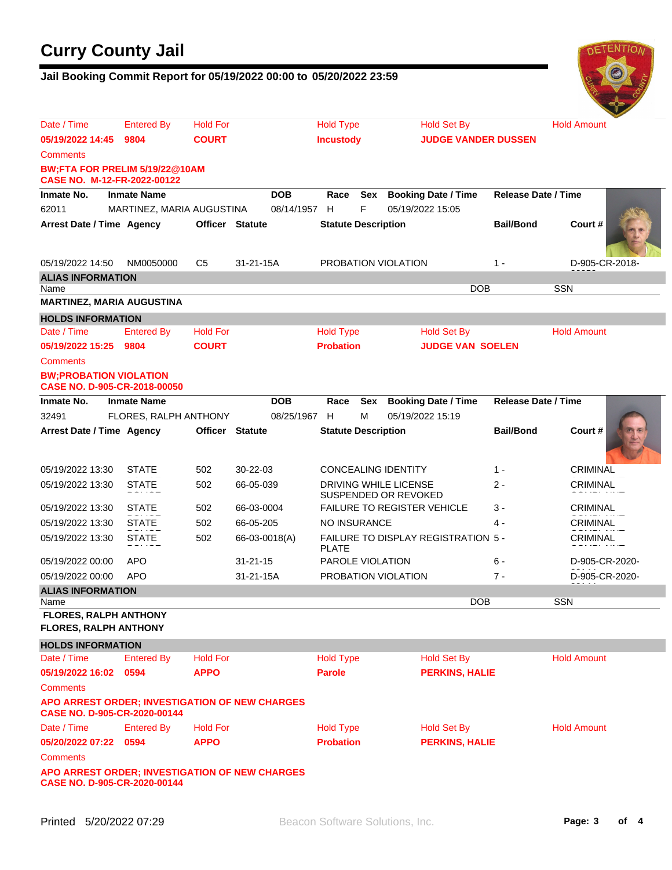### **Jail Booking Commit Report for 05/19/2022 00:00 to 05/20/2022 23:59**



| Date / Time                                                                    | <b>Entered By</b>         | <b>Hold For</b>        |                | <b>Hold Type</b>           |     | <b>Hold Set By</b>                                   |                            | <b>Hold Amount</b> |  |  |  |
|--------------------------------------------------------------------------------|---------------------------|------------------------|----------------|----------------------------|-----|------------------------------------------------------|----------------------------|--------------------|--|--|--|
| 05/19/2022 14:45                                                               | <b>COURT</b><br>9804      |                        |                | <b>Incustody</b>           |     |                                                      | <b>JUDGE VANDER DUSSEN</b> |                    |  |  |  |
| <b>Comments</b>                                                                |                           |                        |                |                            |     |                                                      |                            |                    |  |  |  |
| BW;FTA FOR PRELIM 5/19/22@10AM<br>CASE NO. M-12-FR-2022-00122                  |                           |                        |                |                            |     |                                                      |                            |                    |  |  |  |
| Inmate No.                                                                     | <b>Inmate Name</b>        |                        | <b>DOB</b>     | Race                       | Sex | <b>Booking Date / Time</b>                           | <b>Release Date / Time</b> |                    |  |  |  |
| 62011                                                                          | MARTINEZ, MARIA AUGUSTINA |                        | 08/14/1957     | H                          | F   | 05/19/2022 15:05                                     |                            |                    |  |  |  |
| Arrest Date / Time Agency                                                      |                           | <b>Officer Statute</b> |                | <b>Statute Description</b> |     |                                                      | <b>Bail/Bond</b>           | Court#             |  |  |  |
|                                                                                |                           |                        |                |                            |     |                                                      |                            |                    |  |  |  |
| 05/19/2022 14:50                                                               | NM0050000                 | C5                     | 31-21-15A      |                            |     | PROBATION VIOLATION                                  | $1 -$                      | D-905-CR-2018-     |  |  |  |
| <b>ALIAS INFORMATION</b>                                                       |                           |                        |                |                            |     |                                                      | <b>DOB</b>                 | <b>SSN</b>         |  |  |  |
| Name<br><b>MARTINEZ, MARIA AUGUSTINA</b>                                       |                           |                        |                |                            |     |                                                      |                            |                    |  |  |  |
| <b>HOLDS INFORMATION</b>                                                       |                           |                        |                |                            |     |                                                      |                            |                    |  |  |  |
| Date / Time                                                                    | <b>Entered By</b>         | <b>Hold For</b>        |                | <b>Hold Type</b>           |     | <b>Hold Set By</b>                                   |                            | <b>Hold Amount</b> |  |  |  |
| 05/19/2022 15:25                                                               | 9804                      | <b>COURT</b>           |                | <b>Probation</b>           |     | <b>JUDGE VAN SOELEN</b>                              |                            |                    |  |  |  |
| <b>Comments</b>                                                                |                           |                        |                |                            |     |                                                      |                            |                    |  |  |  |
| <b>BW:PROBATION VIOLATION</b><br>CASE NO. D-905-CR-2018-00050                  |                           |                        |                |                            |     |                                                      |                            |                    |  |  |  |
| Inmate No.                                                                     | <b>Inmate Name</b>        |                        | <b>DOB</b>     | Race                       | Sex | <b>Booking Date / Time</b>                           | Release Date / Time        |                    |  |  |  |
| 32491                                                                          | FLORES, RALPH ANTHONY     |                        | 08/25/1967     | H                          | м   | 05/19/2022 15:19                                     |                            |                    |  |  |  |
| Arrest Date / Time Agency                                                      |                           | <b>Officer Statute</b> |                | <b>Statute Description</b> |     |                                                      | <b>Bail/Bond</b>           | Court#             |  |  |  |
|                                                                                |                           |                        |                |                            |     |                                                      |                            |                    |  |  |  |
| 05/19/2022 13:30                                                               | <b>STATE</b>              | 502                    | 30-22-03       |                            |     | <b>CONCEALING IDENTITY</b>                           | $1 -$                      | <b>CRIMINAL</b>    |  |  |  |
| 05/19/2022 13:30                                                               | <b>STATE</b>              | 502                    | 66-05-039      |                            |     | <b>DRIVING WHILE LICENSE</b><br>SUSPENDED OR REVOKED | $2 -$                      | CRIMINAL           |  |  |  |
| 05/19/2022 13:30                                                               | <b>STATE</b>              | 502                    | 66-03-0004     |                            |     | <b>FAILURE TO REGISTER VEHICLE</b>                   | 3 -                        | <b>CRIMINAL</b>    |  |  |  |
| 05/19/2022 13:30                                                               | <b>STATE</b>              | 502                    | 66-05-205      | NO INSURANCE               |     |                                                      | 4 -                        | <b>CRIMINAL</b>    |  |  |  |
| 05/19/2022 13:30                                                               | <b>STATE</b>              | 502                    | 66-03-0018(A)  | <b>PLATE</b>               |     | FAILURE TO DISPLAY REGISTRATION 5 -                  |                            | CRIMINAL           |  |  |  |
| 05/19/2022 00:00                                                               | <b>APO</b>                |                        | $31 - 21 - 15$ | <b>PAROLE VIOLATION</b>    |     |                                                      | 6 -                        | D-905-CR-2020-     |  |  |  |
| 05/19/2022 00:00                                                               | <b>APO</b>                |                        | 31-21-15A      |                            |     | PROBATION VIOLATION                                  | $7 -$                      | D-905-CR-2020-     |  |  |  |
| <b>ALIAS INFORMATION</b>                                                       |                           |                        |                |                            |     |                                                      | <b>DOB</b>                 | <b>SSN</b>         |  |  |  |
| Name<br><b>FLORES, RALPH ANTHONY</b>                                           |                           |                        |                |                            |     |                                                      |                            |                    |  |  |  |
| <b>FLORES, RALPH ANTHONY</b>                                                   |                           |                        |                |                            |     |                                                      |                            |                    |  |  |  |
| <b>HOLDS INFORMATION</b>                                                       |                           |                        |                |                            |     |                                                      |                            |                    |  |  |  |
| Date / Time                                                                    | <b>Entered By</b>         | <b>Hold For</b>        |                | <b>Hold Type</b>           |     | <b>Hold Set By</b>                                   |                            | <b>Hold Amount</b> |  |  |  |
| 05/19/2022 16:02                                                               | 0594                      | <b>APPO</b>            |                | <b>Parole</b>              |     | <b>PERKINS, HALIE</b>                                |                            |                    |  |  |  |
| Comments                                                                       |                           |                        |                |                            |     |                                                      |                            |                    |  |  |  |
| APO ARREST ORDER; INVESTIGATION OF NEW CHARGES<br>CASE NO. D-905-CR-2020-00144 |                           |                        |                |                            |     |                                                      |                            |                    |  |  |  |
| Date / Time                                                                    | <b>Entered By</b>         | <b>Hold For</b>        |                | <b>Hold Type</b>           |     | <b>Hold Set By</b>                                   |                            | <b>Hold Amount</b> |  |  |  |
| 05/20/2022 07:22                                                               | 0594                      | <b>APPO</b>            |                | <b>Probation</b>           |     | <b>PERKINS, HALIE</b>                                |                            |                    |  |  |  |
| Comments                                                                       |                           |                        |                |                            |     |                                                      |                            |                    |  |  |  |
| APO ARREST ORDER; INVESTIGATION OF NEW CHARGES<br>CASE NO. D-905-CR-2020-00144 |                           |                        |                |                            |     |                                                      |                            |                    |  |  |  |